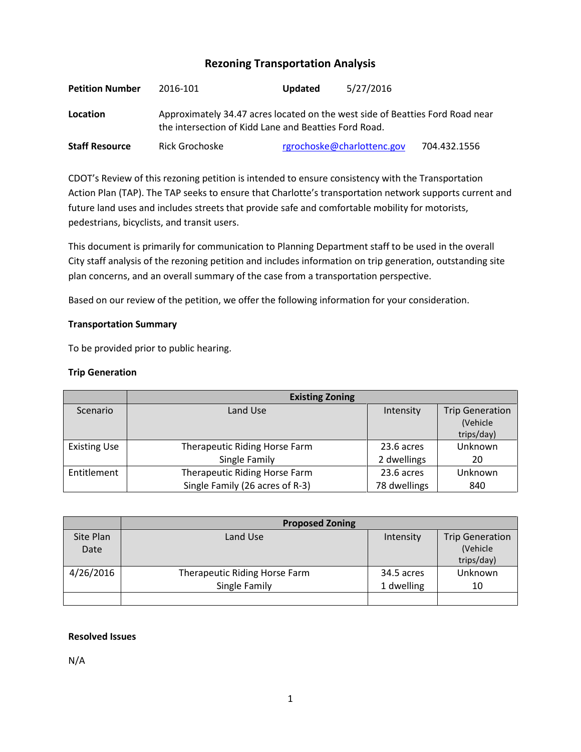# **Rezoning Transportation Analysis**

| <b>Petition Number</b> | 2016-101                                                                                                                               | <b>Updated</b> | 5/27/2016                  |              |  |
|------------------------|----------------------------------------------------------------------------------------------------------------------------------------|----------------|----------------------------|--------------|--|
| Location               | Approximately 34.47 acres located on the west side of Beatties Ford Road near<br>the intersection of Kidd Lane and Beatties Ford Road. |                |                            |              |  |
| <b>Staff Resource</b>  | Rick Grochoske                                                                                                                         |                | rgrochoske@charlottenc.gov | 704.432.1556 |  |

CDOT's Review of this rezoning petition is intended to ensure consistency with the Transportation Action Plan (TAP). The TAP seeks to ensure that Charlotte's transportation network supports current and future land uses and includes streets that provide safe and comfortable mobility for motorists, pedestrians, bicyclists, and transit users.

This document is primarily for communication to Planning Department staff to be used in the overall City staff analysis of the rezoning petition and includes information on trip generation, outstanding site plan concerns, and an overall summary of the case from a transportation perspective.

Based on our review of the petition, we offer the following information for your consideration.

### **Transportation Summary**

To be provided prior to public hearing.

### **Trip Generation**

|                     | <b>Existing Zoning</b>          |              |                        |  |
|---------------------|---------------------------------|--------------|------------------------|--|
| Scenario            | Land Use                        | Intensity    | <b>Trip Generation</b> |  |
|                     |                                 |              | (Vehicle               |  |
|                     |                                 |              | trips/day)             |  |
| <b>Existing Use</b> | Therapeutic Riding Horse Farm   | 23.6 acres   | Unknown                |  |
|                     | Single Family                   | 2 dwellings  | 20                     |  |
| Entitlement         | Therapeutic Riding Horse Farm   | 23.6 acres   | Unknown                |  |
|                     | Single Family (26 acres of R-3) | 78 dwellings | 840                    |  |

|           | <b>Proposed Zoning</b>        |            |                        |  |
|-----------|-------------------------------|------------|------------------------|--|
| Site Plan | Land Use                      | Intensity  | <b>Trip Generation</b> |  |
| Date      |                               |            | (Vehicle               |  |
|           |                               |            | trips/day)             |  |
| 4/26/2016 | Therapeutic Riding Horse Farm | 34.5 acres | Unknown                |  |
|           | Single Family                 | 1 dwelling | 10                     |  |
|           |                               |            |                        |  |

### **Resolved Issues**

N/A